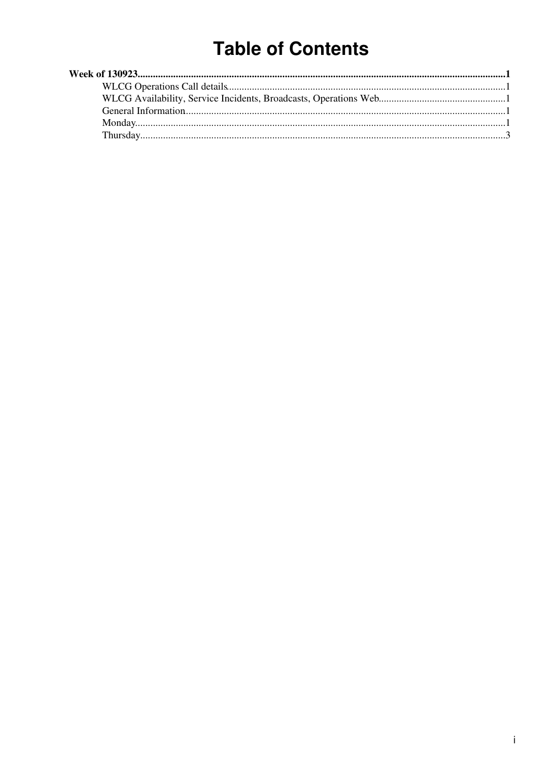# **Table of Contents**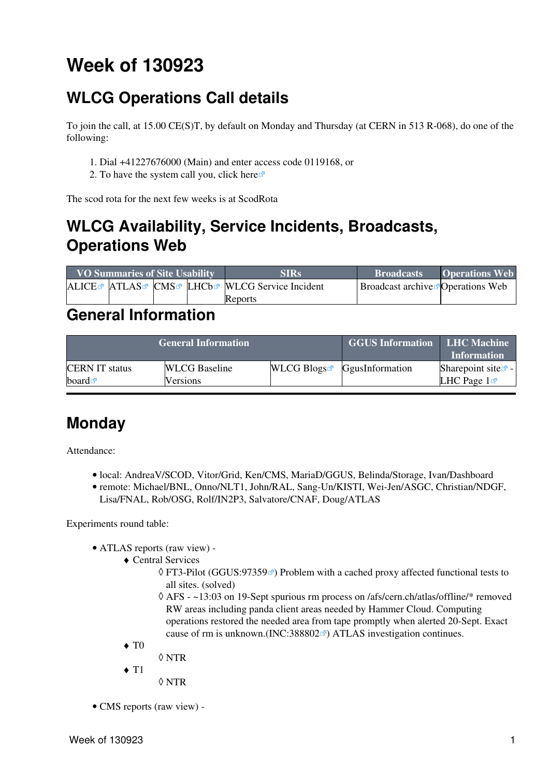# <span id="page-1-0"></span>**Week of 130923**

## <span id="page-1-1"></span>**WLCG Operations Call details**

To join the call, at 15.00 CE(S)T, by default on Monday and Thursday (at CERN in 513 R-068), do one of the following:

- 1. Dial +41227676000 (Main) and enter access code 0119168, or
- 2. To have the system call you, click [here](https://audioconf.cern.ch/call/0119168)

The scod rota for the next few weeks is at [ScodRota](https://twiki.cern.ch/twiki/bin/view/LCG/ScodRota)

## <span id="page-1-2"></span>**WLCG Availability, Service Incidents, Broadcasts, Operations Web**

| <b>VO Summaries of Site Usability</b> |  |  | <b>SIRs</b>                                    | <b>Broadcasts</b>                                | <b>Operations Web</b> |
|---------------------------------------|--|--|------------------------------------------------|--------------------------------------------------|-----------------------|
|                                       |  |  | ALICE™ ATLAS™ CMS™ LHCb™ WLCG Service Incident | <b>Broadcast archive <i>P</i> Operations</b> Web |                       |
|                                       |  |  | Reports                                        |                                                  |                       |

### <span id="page-1-3"></span>**General Information**

|                       | <b>General Information</b> | <b>GGUS Information LHC Machine</b> | <b>Information</b>                        |                                |
|-----------------------|----------------------------|-------------------------------------|-------------------------------------------|--------------------------------|
| <b>CERN IT status</b> | <b>WLCG</b> Baseline       |                                     | $WLCG$ Blogs <sup>R</sup> GgusInformation | Sharepoint site $\mathbb{Z}$ - |
| board $\blacksquare$  | Versions                   |                                     |                                           | LHC Page $1\blacksquare$       |

### <span id="page-1-4"></span>**Monday**

Attendance:

- local: AndreaV/SCOD, Vitor/Grid, Ken/CMS, MariaD/GGUS, Belinda/Storage, Ivan/Dashboard
- remote: Michael/BNL, Onno/NLT1, John/RAL, Sang-Un/KISTI, Wei-Jen/ASGC, Christian/NDGF, Lisa/FNAL, Rob/OSG, Rolf/IN2P3, Salvatore/CNAF, Doug/ATLAS

Experiments round table:

- ATLAS [reports](https://twiki.cern.ch/twiki/bin/view/Atlas/ADCOperationsDailyReports2013) [\(raw view\)](https://twiki.cern.ch/twiki/bin/view/Atlas/ADCOperationsDailyReports2013?raw=on) •
	- Central Services ♦
		- ◊ FT3-Pilot [\(GGUS:97359](https://ggus.eu/ws/ticket_info.php?ticket=97359)ø) Problem with a cached proxy affected functional tests to all sites. (solved)
		- AFS ~13:03 on 19-Sept spurious rm process on /afs/cern.ch/atlas/offline/\* removed ◊ RW areas including panda client areas needed by Hammer Cloud. Computing operations restored the needed area from tape promptly when alerted 20-Sept. Exact cause of rm is unknown.([INC:388802](https://cern.service-now.com/service-portal?id=ticket&n=INC388802) $\textdegree$ ) ATLAS investigation continues.
	- $\blacklozenge$  T<sub>0</sub>
		- ◊ NTR
	- $\triangleleft$  T<sub>1</sub>
		- ◊ NTR
- CMS [reports](https://twiki.cern.ch/twiki/bin/view/CMS/FacOps_WLCGdailyreports) ([raw view\)](https://twiki.cern.ch/twiki/bin/view/CMS/FacOps_WLCGdailyreports?raw=on) -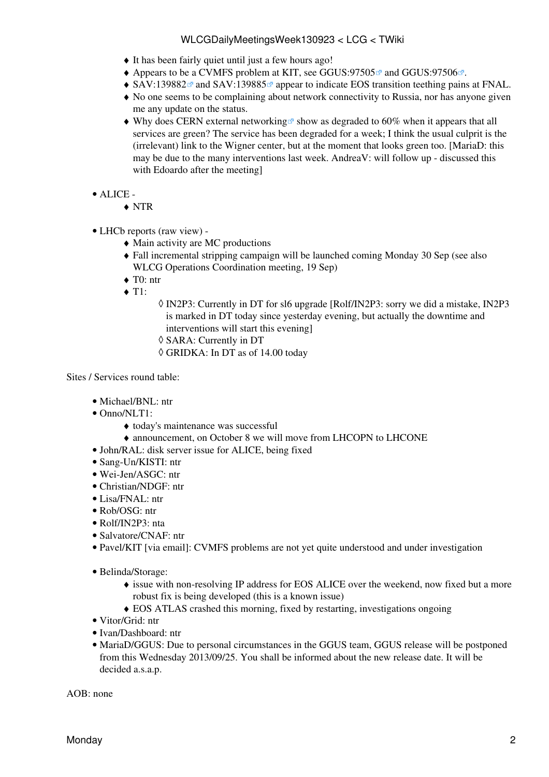#### WLCGDailyMeetingsWeek130923 < LCG < TWiki

- ♦ It has been fairly quiet until just a few hours ago!
- $\triangle$  Appears to be a CVMFS problem at KIT, see [GGUS:97505](https://ggus.eu/ws/ticket_info.php?ticket=97505) $\alpha$  and [GGUS:97506](https://ggus.eu/ws/ticket_info.php?ticket=97506) $\alpha$ .
- $\triangle$  [SAV:139882](https://savannah.cern.ch/support/?139882) $\textdegree$  and [SAV:139885](https://savannah.cern.ch/support/?139885) $\textdegree$  appear to indicate EOS transition teething pains at FNAL.
- No one seems to be complaining about network connectivity to Russia, nor has anyone given ♦ me any update on the status.
- $\blacklozenge$  Why does [CERN external networking](https://sls.cern.ch/sls/service.php?id=EXTERNALNETWORK)  $\blacktriangledown$  show as degraded to 60% when it appears that all services are green? The service has been degraded for a week; I think the usual culprit is the (irrelevant) link to the Wigner center, but at the moment that looks green too. [MariaD: this may be due to the many interventions last week. AndreaV: will follow up - discussed this with Edoardo after the meeting]
- ALICE •
	- ♦ NTR
- LHCb [reports](https://twiki.cern.ch/twiki/bin/view/LHCb/ProductionOperationsWLCGdailyReports) [\(raw view\)](https://twiki.cern.ch/twiki/bin/view/LHCb/ProductionOperationsWLCGdailyReports?raw=on) •
	- ♦ Main activity are MC productions
	- Fall incremental stripping campaign will be launched coming Monday 30 Sep (see also ♦ [WLCG Operations Coordination meeting, 19 Sep](https://twiki.cern.ch/twiki/bin/view/LCG/WLCGOpsMinutes130919#LHCb))
	- $\triangleleft$  T0: ntr
	- $\triangleleft$  T1:
- IN2P3: Currently in DT for sl6 upgrade [Rolf/IN2P3: sorry we did a mistake, IN2P3 ◊ is marked in DT today since yesterday evening, but actually the downtime and interventions will start this evening]
- ◊ SARA: Currently in DT
- ◊ GRIDKA: In DT as of 14.00 today

Sites / Services round table:

- Michael/BNL: ntr
- Onno/NLT1:
	- ♦ today's maintenance was successful
	- ♦ announcement, on October 8 we will move from LHCOPN to LHCONE
- John/RAL: disk server issue for ALICE, being fixed
- Sang-Un/KISTI: ntr
- Wei-Jen/ASGC: ntr
- Christian/NDGF: ntr
- Lisa/FNAL: ntr
- Rob/OSG: ntr
- Rolf/IN2P3: nta
- Salvatore/CNAF: ntr
- Pavel/KIT [via email]: CVMFS problems are not yet quite understood and under investigation
- Belinda/Storage:
	- issue with non-resolving IP address for EOS ALICE over the weekend, now fixed but a more ♦ robust fix is being developed (this is a known issue)
	- ♦ EOS ATLAS crashed this morning, fixed by restarting, investigations ongoing
- Vitor/Grid: ntr
- Ivan/Dashboard: ntr
- MariaD/GGUS: Due to personal circumstances in the GGUS team, GGUS release will be postponed from this Wednesday 2013/09/25. You shall be informed about the new release date. It will be decided a.s.a.p.

 $AOR: none$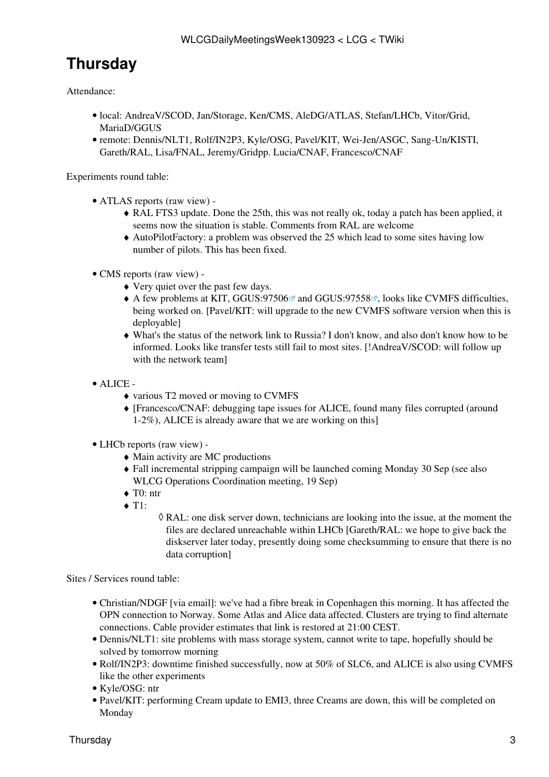## <span id="page-3-0"></span>**Thursday**

Attendance:

- · local: AndreaV/SCOD, Jan/Storage, Ken/CMS, AleDG/ATLAS, Stefan/LHCb, Vitor/Grid, MariaD/GGUS
- remote: Dennis/NLT1, Rolf/IN2P3, Kyle/OSG, Pavel/KIT, Wei-Jen/ASGC, Sang-Un/KISTI, Gareth/RAL, Lisa/FNAL, Jeremy/Gridpp. Lucia/CNAF, Francesco/CNAF

Experiments round table:

- ATLAS [reports](https://twiki.cern.ch/twiki/bin/view/Atlas/ADCOperationsDailyReports2013) [\(raw view\)](https://twiki.cern.ch/twiki/bin/view/Atlas/ADCOperationsDailyReports2013?raw=on) •
	- RAL FTS3 update. Done the 25th, this was not really ok, today a patch has been applied, it ♦ seems now the situation is stable. Comments from RAL are welcome
	- AutoPilotFactory: a problem was observed the 25 which lead to some sites having low ♦ number of pilots. This has been fixed.
- CMS [reports](https://twiki.cern.ch/twiki/bin/view/CMS/FacOps_WLCGdailyreports) ([raw view\)](https://twiki.cern.ch/twiki/bin/view/CMS/FacOps_WLCGdailyreports?raw=on) •
	- ♦ Very quiet over the past few days.
	- $\blacklozenge$  A few problems at KIT, [GGUS:97506](https://ggus.eu/ws/ticket_info.php?ticket=97506) and [GGUS:97558](https://ggus.eu/ws/ticket_info.php?ticket=97558) . looks like CVMFS difficulties, being worked on. [Pavel/KIT: will upgrade to the new CVMFS software version when this is deployable]
	- What's the status of the network link to Russia? I don't know, and also don't know how to be ♦ informed. Looks like transfer tests still fail to most sites. [!AndreaV/SCOD: will follow up with the network team]
- ALICE •
	- ♦ various T2 moved or moving to CVMFS
	- [Francesco/CNAF: debugging tape issues for ALICE, found many files corrupted (around ♦ 1-2%), ALICE is already aware that we are working on this]
- LHCb [reports](https://twiki.cern.ch/twiki/bin/view/LHCb/ProductionOperationsWLCGdailyReports) [\(raw view\)](https://twiki.cern.ch/twiki/bin/view/LHCb/ProductionOperationsWLCGdailyReports?raw=on) •
	- ♦ Main activity are MC productions
	- Fall incremental stripping campaign will be launched coming Monday 30 Sep (see also ♦ [WLCG Operations Coordination meeting, 19 Sep](https://twiki.cern.ch/twiki/bin/view/LCG/WLCGOpsMinutes130919#LHCb))
	- $\triangleleft$  T<sub>0</sub>: ntr
	- $\triangleleft$  T1:
- RAL: one disk server down, technicians are looking into the issue, at the moment the ◊ files are declared unreachable within LHCb [Gareth/RAL: we hope to give back the diskserver later today, presently doing some checksumming to ensure that there is no data corruption]

Sites / Services round table:

- Christian/NDGF [via email]: we've had a fibre break in Copenhagen this morning. It has affected the OPN connection to Norway. Some Atlas and Alice data affected. Clusters are trying to find alternate connections. Cable provider estimates that link is restored at 21:00 CEST.
- Dennis/NLT1: site problems with mass storage system, cannot write to tape, hopefully should be solved by tomorrow morning
- Rolf/IN2P3: downtime finished successfully, now at 50% of SLC6, and ALICE is also using CVMFS like the other experiments
- Kyle/OSG: ntr
- Pavel/KIT: performing Cream update to EMI3, three Creams are down, this will be completed on Monday